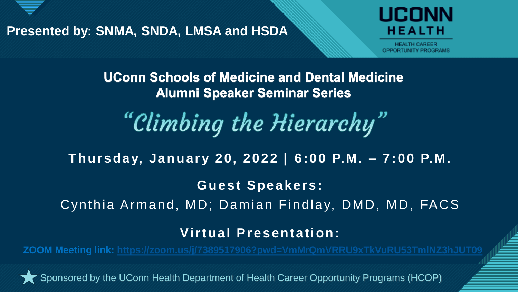

Presented by: SNMA, SNDA, LMSA and HSDA

# HEALTH

1

**UConn Schools of Medicine and Dental Medicine Alumni Speaker Seminar Series** 

"Climbing the Hierarchy"

**Thursday, January 20, 2022 | 6:00 P.M. – 7:00 P.M.**

**Guest Speakers:**

Cynthia Armand, MD; Damian Findlay, DMD, MD, FACS

**Virtual Presentation:**

**ZOOM Meeting link: [https://zoom.us/j/7389517906?pwd=VmMrQmVRRU9xTkVuRU53TmlNZ3hJUT09](https://urldefense.com/v3/__https:/zoom.us/j/7389517906?pwd=VmMrQmVRRU9xTkVuRU53TmlNZ3hJUT09__;!!N0rdg9Wr!5MJde_zwMg2LnW7K76937db4MdxnT_isxUMQsF4fN9e3ECsYEMlrkaUmMz8oEO4SOg$)**

Sponsored by the UConn Health Department of Health Career Opportunity Programs (HCOP)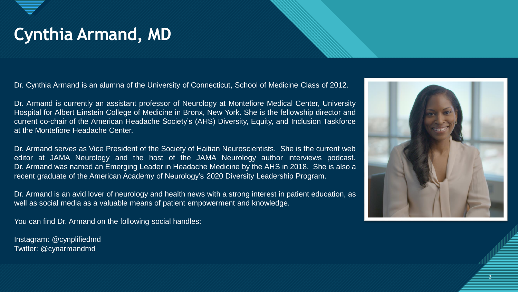### Cynthia Armand, MD

Dr. Cynthia Armand is an alumna of the University of Connecticut, School of Medicine Class of 2012.

Dr. Armand is currently an assistant professor of Neurology at Montefiore Medical Center, University Hospital for Albert Einstein College of Medicine in Bronx, New York. She is the fellowship director and current co-chair of the American Headache Society's (AHS) Diversity, Equity, and Inclusion Taskforce at the Montefiore Headache Center.

Dr. Armand serves as Vice President of the Society of Haitian Neuroscientists. She is the current web editor at JAMA Neurology and the host of the JAMA Neurology author interviews podcast. Dr. Armand was named an Emerging Leader in Headache Medicine by the AHS in 2018. She is also a recent graduate of the American Academy of Neurology's 2020 Diversity Leadership Program.

Dr. Armand is an avid lover of neurology and health news with a strong interest in patient education, as well as social media as a valuable means of patient empowerment and knowledge.

You can find Dr. Armand on the following social handles:

Instagram: @cynplifiedmd Twitter: @cynarmandmd



2 2